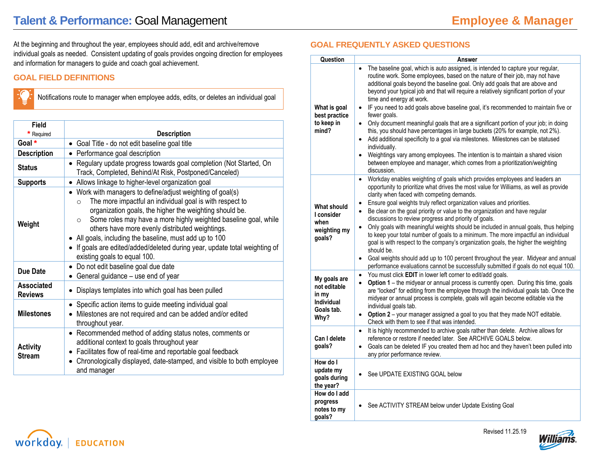At the beginning and throughout the year, employees should add, edit and archive/remove individual goals as needed. Consistent updating of goals provides ongoing direction for employees and information for managers to guide and coach goal achievement.

# **GOAL FIELD DEFINITIONS**

Notifications route to manager when employee adds, edits, or deletes an individual goal

| Field<br>Required                   | <b>Description</b>                                                                                                                                                                                                                                                                                                                                                                                                                                                                                  |
|-------------------------------------|-----------------------------------------------------------------------------------------------------------------------------------------------------------------------------------------------------------------------------------------------------------------------------------------------------------------------------------------------------------------------------------------------------------------------------------------------------------------------------------------------------|
| Goal *                              | • Goal Title - do not edit baseline goal title                                                                                                                                                                                                                                                                                                                                                                                                                                                      |
| <b>Description</b>                  | Performance goal description                                                                                                                                                                                                                                                                                                                                                                                                                                                                        |
| <b>Status</b>                       | Regulary update progress towards goal completion (Not Started, On<br>$\bullet$<br>Track, Completed, Behind/At Risk, Postponed/Canceled)                                                                                                                                                                                                                                                                                                                                                             |
| <b>Supports</b>                     | • Allows linkage to higher-level organization goal                                                                                                                                                                                                                                                                                                                                                                                                                                                  |
| Weight                              | Work with managers to define/adjust weighting of goal(s)<br>The more impactful an individual goal is with respect to<br>$\Omega$<br>organization goals, the higher the weighting should be.<br>Some roles may have a more highly weighted baseline goal, while<br>$\circ$<br>others have more evenly distributed weightings.<br>• All goals, including the baseline, must add up to 100<br>If goals are edited/added/deleted during year, update total weighting of<br>existing goals to equal 100. |
| Due Date                            | Do not edit baseline goal due date<br>$\bullet$<br>General guidance - use end of year                                                                                                                                                                                                                                                                                                                                                                                                               |
| <b>Associated</b><br><b>Reviews</b> | Displays templates into which goal has been pulled                                                                                                                                                                                                                                                                                                                                                                                                                                                  |
| <b>Milestones</b>                   | Specific action items to guide meeting individual goal<br>Milestones are not required and can be added and/or edited<br>throughout year.                                                                                                                                                                                                                                                                                                                                                            |
| <b>Activity</b><br><b>Stream</b>    | • Recommended method of adding status notes, comments or<br>additional context to goals throughout year<br>Facilitates flow of real-time and reportable goal feedback<br>$\bullet$<br>Chronologically displayed, date-stamped, and visible to both employee<br>$\bullet$<br>and manager                                                                                                                                                                                                             |

## **GOAL FREQUENTLY ASKED QUESTIONS**

| Question                                                                         | Answer                                                                                                                                                                                                                                                                                                                                                                                                                                                                                                                                                                                                                                                                                                                                                                                                                                                                                                                                                           |
|----------------------------------------------------------------------------------|------------------------------------------------------------------------------------------------------------------------------------------------------------------------------------------------------------------------------------------------------------------------------------------------------------------------------------------------------------------------------------------------------------------------------------------------------------------------------------------------------------------------------------------------------------------------------------------------------------------------------------------------------------------------------------------------------------------------------------------------------------------------------------------------------------------------------------------------------------------------------------------------------------------------------------------------------------------|
| What is goal<br>best practice<br>to keep in<br>mind?                             | The baseline goal, which is auto assigned, is intended to capture your regular,<br>routine work. Some employees, based on the nature of their job, may not have<br>additional goals beyond the baseline goal. Only add goals that are above and<br>beyond your typical job and that will require a relatively significant portion of your<br>time and energy at work.<br>IF you need to add goals above baseline goal, it's recommended to maintain five or<br>fewer goals.<br>• Only document meaningful goals that are a significant portion of your job; in doing<br>this, you should have percentages in large buckets (20% for example, not 2%).<br>Add additional specificity to a goal via milestones. Milestones can be statused<br>$\bullet$<br>individually.<br>Weightings vary among employees. The intention is to maintain a shared vision<br>$\bullet$<br>between employee and manager, which comes from a prioritization/weighting<br>discussion. |
| <b>What should</b><br>I consider<br>when<br>weighting my<br>goals?               | Workday enables weighting of goals which provides employees and leaders an<br>$\bullet$<br>opportunity to prioritize what drives the most value for Williams, as well as provide<br>clarity when faced with competing demands.<br>Ensure goal weights truly reflect organization values and priorities.<br>$\bullet$<br>Be clear on the goal priority or value to the organization and have regular<br>$\bullet$<br>discussions to review progress and priority of goals.<br>Only goals with meaningful weights should be included in annual goals, thus helping<br>$\bullet$<br>to keep your total number of goals to a minimum. The more impactful an individual<br>goal is with respect to the company's organization goals, the higher the weighting<br>should be.<br>Goal weights should add up to 100 percent throughout the year. Midyear and annual<br>$\bullet$<br>performance evaluations cannot be successfully submitted if goals do not equal 100.  |
| My goals are<br>not editable<br>in my<br><b>Individual</b><br>Goals tab.<br>Why? | You must click EDIT in lower left corner to edit/add goals.<br>$\bullet$<br>Option 1 - the midyear or annual process is currently open. During this time, goals<br>$\bullet$<br>are "locked" for editing from the employee through the individual goals tab. Once the<br>midyear or annual process is complete, goals will again become editable via the<br>individual goals tab.<br>Option 2 - your manager assigned a goal to you that they made NOT editable.<br>$\bullet$<br>Check with them to see if that was intended.                                                                                                                                                                                                                                                                                                                                                                                                                                    |
| Can I delete<br>goals?                                                           | It is highly recommended to archive goals rather than delete. Archive allows for<br>$\bullet$<br>reference or restore if needed later. See ARCHIVE GOALS below.<br>Goals can be deleted IF you created them ad hoc and they haven't been pulled into<br>$\bullet$<br>any prior performance review.                                                                                                                                                                                                                                                                                                                                                                                                                                                                                                                                                                                                                                                               |
| How do I<br>update my<br>goals during<br>the year?                               | See UPDATE EXISTING GOAL below                                                                                                                                                                                                                                                                                                                                                                                                                                                                                                                                                                                                                                                                                                                                                                                                                                                                                                                                   |
| How do I add<br>progress<br>notes to my<br>goals?                                | See ACTIVITY STREAM below under Update Existing Goal                                                                                                                                                                                                                                                                                                                                                                                                                                                                                                                                                                                                                                                                                                                                                                                                                                                                                                             |



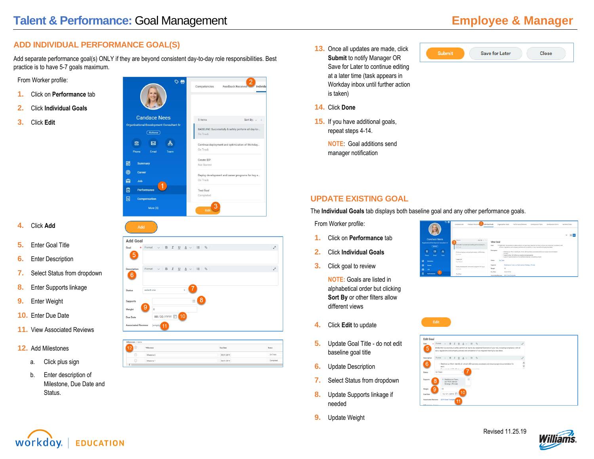# **ADD INDIVIDUAL PERFORMANCE GOAL(S)**

Add separate performance goal(s) ONLY if they are beyond consistent day-to-day role responsibilities. Best practice is to have 5-7 goals maximum.

From Worker profile:

- **1.** Click on **Performance** tab
- **2.** Click **Individual Goals**
- **3.** Click **Edit**



- **4.** Click **Add**
- **5.** Enter Goal Title
- **6.** Enter Description
- **7.** Select Status from dropdown
- **8.** Enter Supports linkage
- **9.** Enter Weight
- **10.** Enter Due Date
- **11.** View Associated Reviews
- **12.** Add Milestones
	- a. Click plus sign
	- b. Enter description of Milestone, Due Date and Status.



|         | *Milestone  | Due Date   | Status   |
|---------|-------------|------------|----------|
| $\odot$ | Milestone 2 | 09/01/2019 | On Track |
| $\odot$ | Milestone 1 | 06/01/2019 |          |

- 13. Once all updates are made, click **Submit** to notify Manager OR Save for Later to continue editing at a later time (task appears in Workday inbox until further action is taken)
- **14.** Click **Done**
- **15.** If you have additional goals, repeat steps 4-14.

**NOTE**: Goal additions send manager notification



#### **UPDATE EXISTING GOAL**

The **Individual Goals** tab displays both baseline goal and any other performance goals.

From Worker profile:

- **1.** Click on **Performance** tab
- **2.** Click **Individual Goals**
- **3.** Click goal to review

**NOTE:** Goals are listed in alphabetical order but clicking **Sort By** or other filters allow different views

- **4.** Click **Edit** to update
- **5.** Update Goal Title do not edit baseline goal title
- **6.** Update Description
- **7.** Select Status from dropdown
- **8.** Update Supports linkage if needed
- **9.** Update Weight













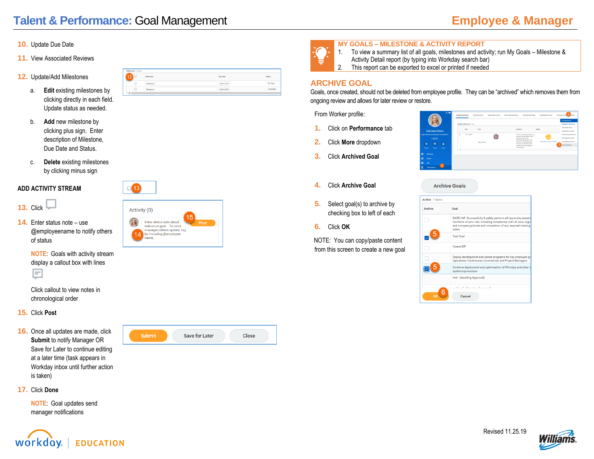- **10.** Update Due Date
- **11.** View Associated Reviews
- **12.** Update/Add Milestones
	- a. **Edit** existing milestones by clicking directly in each field. Update status as needed.
	- b. **Add** new milestone by clicking plus sign. Enter description of Milestone, Due Date and Status.
	- c. **Delete** existing milestones by clicking minus sign

#### **ADD ACTIVITY STREAM**

- **13.** Click  $\Box$
- **14.** Enter status note use @employeename to notify others of status
	- **NOTE**: Goals with activity stream display a callout box with lines



Click callout to view notes in chronological order

- **15.** Click **Post**
- **16.** Once all updates are made, click **Submit** to notify Manager OR Save for Later to continue editing at a later time (task appears in Workday inbox until further action is taken)



Submit

**Save for Later** 

**Close** 

|                 | *Milestone | Due Date   | <b>Status</b> |
|-----------------|------------|------------|---------------|
| ∩               | THEMAS 7   | 00/01/2019 | On Track      |
| $\sim$<br>$(-)$ | Niestone   | 06/01/2019 |               |
|                 |            |            |               |



**MY GOALS – MILESTONE & ACTIVITY REPORT** 1. To view a summary list of all goals, milestones and activity; run My Goals – Milestone & Activity Detail report (by typing into Workday search bar)

2. This report can be exported to excel or printed if needed

### **ARCHIVE GOAL**

Goals, once created, should not be deleted from employee profile. They can be "archived" which removes them from ongoing review and allows for later review or restore.

Archive Coole

From Worker profile:

- **1.** Click on **Performance** tab
- **2.** Click **More** dropdown
- **3.** Click **Archived Goal**
- **4.** Click **Archive Goal**
- **5.** Select goal(s) to archive by checking box to left of each
- **6.** Click **OK**

NOTE: You can copy/paste content from this screen to create a new goal

|                   |                                 | $ \overline{a}$        | $\circ$ $\bullet$                                              | <b>Conflict Rendered</b> | Fordback Received 1 hon- | Individual Grade<br><b>Organization Goals</b> | <b>Development Plans</b><br>Performance Exvience                                                                                                                                                                                              | <b>Development Rems</b>           | Archived Goals 2 More<br>Correstencies<br>Feedback Received                                         |
|-------------------|---------------------------------|------------------------|----------------------------------------------------------------|--------------------------|--------------------------|-----------------------------------------------|-----------------------------------------------------------------------------------------------------------------------------------------------------------------------------------------------------------------------------------------------|-----------------------------------|-----------------------------------------------------------------------------------------------------|
|                   |                                 | <b>Candace Nees</b>    |                                                                |                          | Date                     | From:                                         | Feedback                                                                                                                                                                                                                                      | Eadon                             | Individual Goals<br>Organization Opals                                                              |
|                   | 圖<br>Phone                      | (hctora)<br>図<br>Email | <b>Organizational Development Consultant Sr</b><br>å.<br>Team. | $\alpha$<br>×            | 11/17/2018               | Mark Sauddor                                  | Thanks for the information you<br>shared with the Atlantic Dark<br><b>Engineering Services</b><br>leadership group this week.<br>You did an outstanding job<br>with your presentation and<br>made it fan to participate in<br>the activities. | а,<br>Mativates & Inspires Others | Performance Reviews<br><b>Development Plans</b><br>Development Herris<br>з<br><b>Archived Goals</b> |
| RB<br>®<br>ė<br>目 | Summary<br>Career<br><b>Job</b> | Performance            |                                                                |                          |                          |                                               |                                                                                                                                                                                                                                               |                                   |                                                                                                     |

| Active 7 items |                                                                                                                                                                                                             |
|----------------|-------------------------------------------------------------------------------------------------------------------------------------------------------------------------------------------------------------|
| Archive        | Goal                                                                                                                                                                                                        |
|                | BASELINE: Successfully & safely perform all day-to-day essent<br>functions of your role, including compliance with all laws, regul<br>and company policies and completion of any required training<br>dates |
|                | <b>Test Goal</b>                                                                                                                                                                                            |
|                | <b>Create IDP</b>                                                                                                                                                                                           |
|                | Deploy development and career programs for key employee gr<br>Operations Technicians, Commercial and Project Managers                                                                                       |
|                | Continue deployment and optimization of Workday and other L<br>systems/processes                                                                                                                            |
|                | test - (Awaiting Approval)                                                                                                                                                                                  |
|                | Masdf∽fAwaiting Approvah                                                                                                                                                                                    |



#### **17.** Click **Done**

**NOTE**: Goal updates send manager notifications